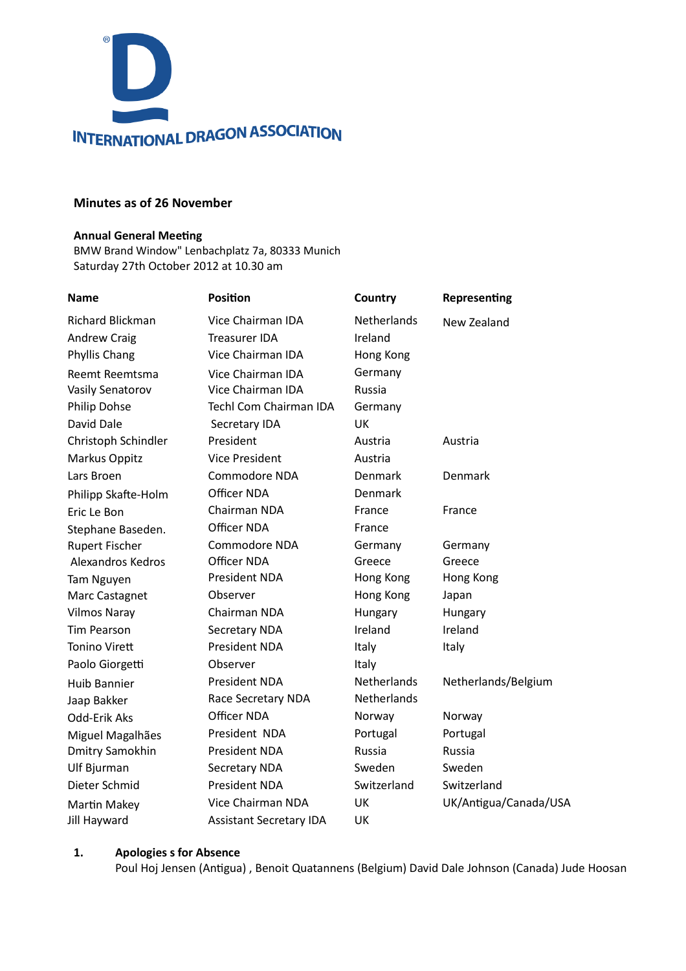

### **Minutes as of 26 November**

#### **Annual General Meeting**

BMW Brand Window" Lenbachplatz 7a, 80333 Munich Saturday 27th October 2012 at 10.30 am

| <b>Name</b>           | <b>Position</b>                | Country            | Representing          |
|-----------------------|--------------------------------|--------------------|-----------------------|
| Richard Blickman      | Vice Chairman IDA              | <b>Netherlands</b> | New Zealand           |
| <b>Andrew Craig</b>   | <b>Treasurer IDA</b>           | Ireland            |                       |
| Phyllis Chang         | Vice Chairman IDA              | Hong Kong          |                       |
| Reemt Reemtsma        | Vice Chairman IDA              | Germany            |                       |
| Vasily Senatorov      | Vice Chairman IDA              | Russia             |                       |
| Philip Dohse          | <b>Techl Com Chairman IDA</b>  | Germany            |                       |
| David Dale            | Secretary IDA                  | UK                 |                       |
| Christoph Schindler   | President                      | Austria            | Austria               |
| Markus Oppitz         | <b>Vice President</b>          | Austria            |                       |
| Lars Broen            | Commodore NDA                  | Denmark            | Denmark               |
| Philipp Skafte-Holm   | Officer NDA                    | Denmark            |                       |
| Eric Le Bon           | Chairman NDA                   | France             | France                |
| Stephane Baseden.     | Officer NDA                    | France             |                       |
| <b>Rupert Fischer</b> | Commodore NDA                  | Germany            | Germany               |
| Alexandros Kedros     | Officer NDA                    | Greece             | Greece                |
| <b>Tam Nguyen</b>     | President NDA                  | Hong Kong          | Hong Kong             |
| Marc Castagnet        | Observer                       | Hong Kong          | Japan                 |
| <b>Vilmos Naray</b>   | Chairman NDA                   | Hungary            | Hungary               |
| <b>Tim Pearson</b>    | Secretary NDA                  | Ireland            | Ireland               |
| <b>Tonino Virett</b>  | President NDA                  | Italy              | Italy                 |
| Paolo Giorgetti       | Observer                       | Italy              |                       |
| <b>Huib Bannier</b>   | President NDA                  | <b>Netherlands</b> | Netherlands/Belgium   |
| Jaap Bakker           | Race Secretary NDA             | <b>Netherlands</b> |                       |
| Odd-Erik Aks          | Officer NDA                    | Norway             | Norway                |
| Miguel Magalhães      | President NDA                  | Portugal           | Portugal              |
| Dmitry Samokhin       | President NDA                  | <b>Russia</b>      | Russia                |
| Ulf Bjurman           | Secretary NDA                  | Sweden             | Sweden                |
| Dieter Schmid         | President NDA                  | Switzerland        | Switzerland           |
| Martin Makey          | Vice Chairman NDA              | UK                 | UK/Antigua/Canada/USA |
| Jill Hayward          | <b>Assistant Secretary IDA</b> | <b>UK</b>          |                       |

## **1. Apologies s for Absence**

Poul Hoj Jensen (Antigua) , Benoit Quatannens (Belgium) David Dale Johnson (Canada) Jude Hoosan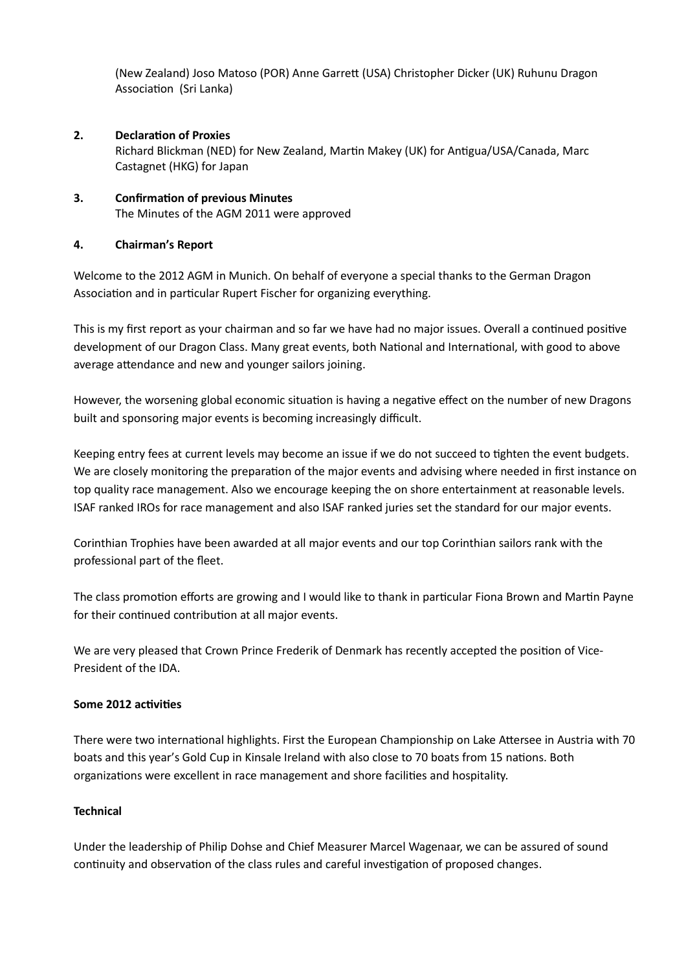(New Zealand) Joso Matoso (POR) Anne Garre< (USA) Christopher Dicker (UK) Ruhunu Dragon Association (Sri Lanka)

#### **2.** Declaration of Proxies

Richard Blickman (NED) for New Zealand, Martin Makey (UK) for Antigua/USA/Canada, Marc Castagnet (HKG) for Japan

## **3. Confirmation of previous Minutes** The Minutes of the AGM 2011 were approved

#### **4. Chairman's Report**

Welcome to the 2012 AGM in Munich. On behalf of everyone a special thanks to the German Dragon Association and in particular Rupert Fischer for organizing everything.

This is my first report as your chairman and so far we have had no major issues. Overall a continued positive development of our Dragon Class. Many great events, both National and International, with good to above average attendance and new and younger sailors joining.

However, the worsening global economic situation is having a negative effect on the number of new Dragons built and sponsoring major events is becoming increasingly difficult.

Keeping entry fees at current levels may become an issue if we do not succeed to tighten the event budgets. We are closely monitoring the preparation of the major events and advising where needed in first instance on top quality race management. Also we encourage keeping the on shore entertainment at reasonable levels. ISAF ranked IROs for race management and also ISAF ranked juries set the standard for our major events.

Corinthian Trophies have been awarded at all major events and our top Corinthian sailors rank with the professional part of the fleet.

The class promotion efforts are growing and I would like to thank in particular Fiona Brown and Martin Payne for their continued contribution at all major events.

We are very pleased that Crown Prince Frederik of Denmark has recently accepted the position of Vice-President of the IDA.

#### **Some 2012 activities**

There were two international highlights. First the European Championship on Lake Attersee in Austria with 70 boats and this year's Gold Cup in Kinsale Ireland with also close to 70 boats from 15 nations. Both organizations were excellent in race management and shore facilities and hospitality.

#### **Technical**

Under the leadership of Philip Dohse and Chief Measurer Marcel Wagenaar, we can be assured of sound continuity and observation of the class rules and careful investigation of proposed changes.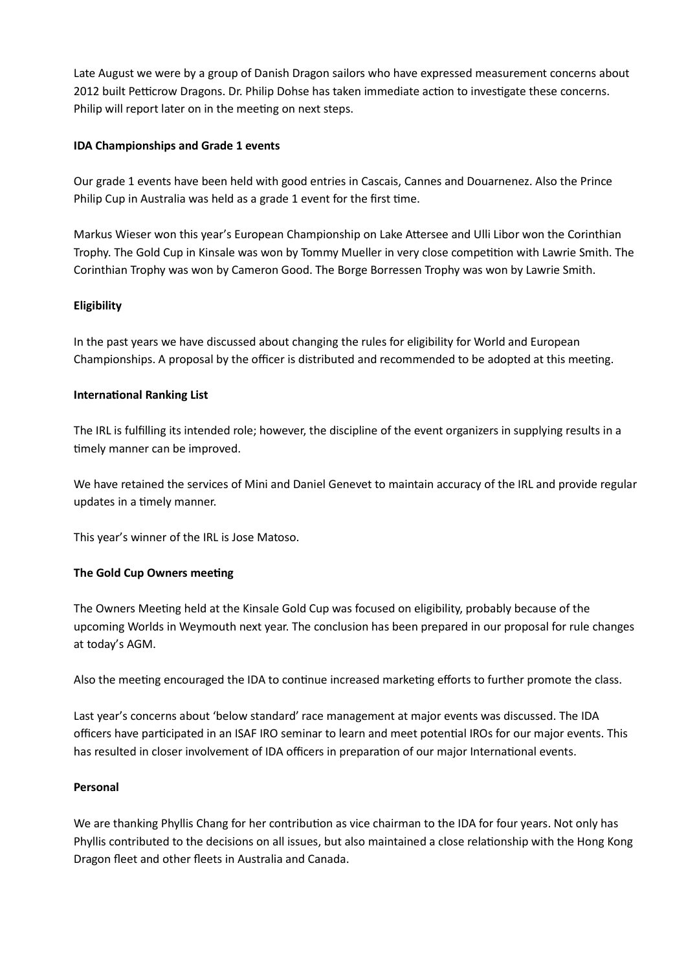Late August we were by a group of Danish Dragon sailors who have expressed measurement concerns about 2012 built Petticrow Dragons. Dr. Philip Dohse has taken immediate action to investigate these concerns. Philip will report later on in the meeting on next steps.

### **IDA Championships and Grade 1 events**

Our grade 1 events have been held with good entries in Cascais, Cannes and Douarnenez. Also the Prince Philip Cup in Australia was held as a grade 1 event for the first time.

Markus Wieser won this year's European Championship on Lake Attersee and Ulli Libor won the Corinthian Trophy. The Gold Cup in Kinsale was won by Tommy Mueller in very close competition with Lawrie Smith. The Corinthian Trophy was won by Cameron Good. The Borge Borressen Trophy was won by Lawrie Smith.

#### **Eligibility**

In the past years we have discussed about changing the rules for eligibility for World and European Championships. A proposal by the officer is distributed and recommended to be adopted at this meeting.

#### **International Ranking List**

The IRL is fulfilling its intended role; however, the discipline of the event organizers in supplying results in a timely manner can be improved.

We have retained the services of Mini and Daniel Genevet to maintain accuracy of the IRL and provide regular updates in a timely manner.

This year's winner of the IRL is Jose Matoso.

## **The Gold Cup Owners meeting**

The Owners Meeting held at the Kinsale Gold Cup was focused on eligibility, probably because of the upcoming Worlds in Weymouth next year. The conclusion has been prepared in our proposal for rule changes at today's AGM.

Also the meeting encouraged the IDA to continue increased marketing efforts to further promote the class.

Last year's concerns about 'below standard' race management at major events was discussed. The IDA officers have participated in an ISAF IRO seminar to learn and meet potential IROs for our major events. This has resulted in closer involvement of IDA officers in preparation of our major International events.

#### **Personal**

We are thanking Phyllis Chang for her contribution as vice chairman to the IDA for four years. Not only has Phyllis contributed to the decisions on all issues, but also maintained a close relationship with the Hong Kong Dragon fleet and other fleets in Australia and Canada.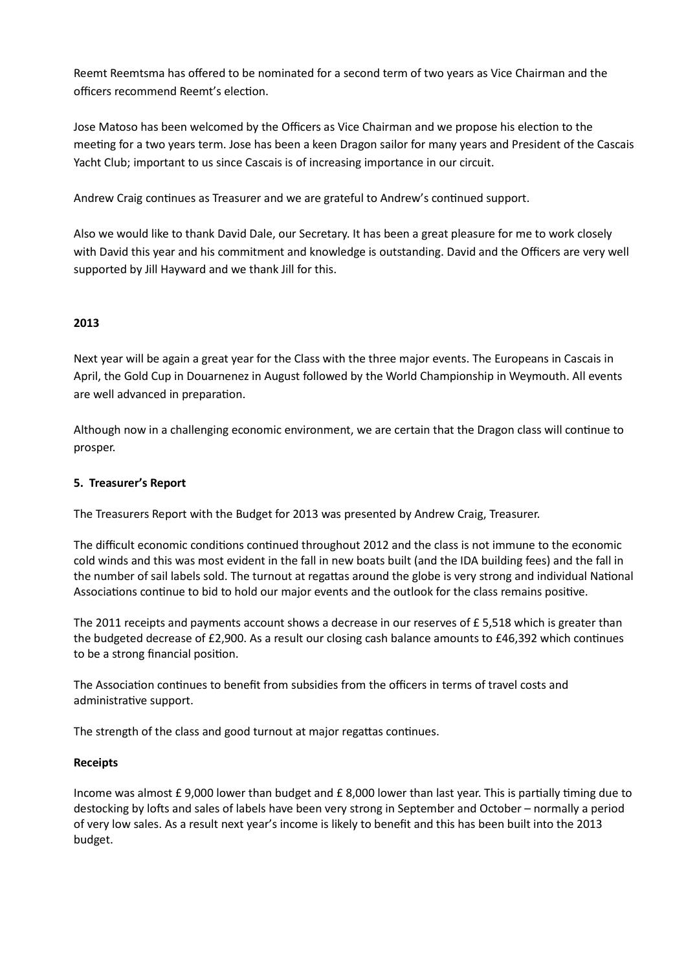Reemt Reemtsma has offered to be nominated for a second term of two years as Vice Chairman and the officers recommend Reemt's election.

Jose Matoso has been welcomed by the Officers as Vice Chairman and we propose his election to the meeting for a two years term. Jose has been a keen Dragon sailor for many years and President of the Cascais Yacht Club; important to us since Cascais is of increasing importance in our circuit.

Andrew Craig continues as Treasurer and we are grateful to Andrew's continued support.

Also we would like to thank David Dale, our Secretary. It has been a great pleasure for me to work closely with David this year and his commitment and knowledge is outstanding. David and the Officers are very well supported by Jill Hayward and we thank Jill for this.

# **2013**

Next year will be again a great year for the Class with the three major events. The Europeans in Cascais in April, the Gold Cup in Douarnenez in August followed by the World Championship in Weymouth. All events are well advanced in preparation.

Although now in a challenging economic environment, we are certain that the Dragon class will continue to prosper.

## **5. Treasurer's Report**

The Treasurers Report with the Budget for 2013 was presented by Andrew Craig, Treasurer.

The difficult economic conditions continued throughout 2012 and the class is not immune to the economic cold winds and this was most evident in the fall in new boats built (and the IDA building fees) and the fall in the number of sail labels sold. The turnout at regattas around the globe is very strong and individual National Associations continue to bid to hold our major events and the outlook for the class remains positive.

The 2011 receipts and payments account shows a decrease in our reserves of £ 5,518 which is greater than the budgeted decrease of £2,900. As a result our closing cash balance amounts to £46,392 which continues to be a strong financial position.

The Association continues to benefit from subsidies from the officers in terms of travel costs and administrative support.

The strength of the class and good turnout at major regattas continues.

## **Receipts**

Income was almost  $f{f}$  9,000 lower than budget and  $f{f}$  8,000 lower than last year. This is partially timing due to destocking by lofts and sales of labels have been very strong in September and October – normally a period of very low sales. As a result next year's income is likely to benefit and this has been built into the 2013 budget.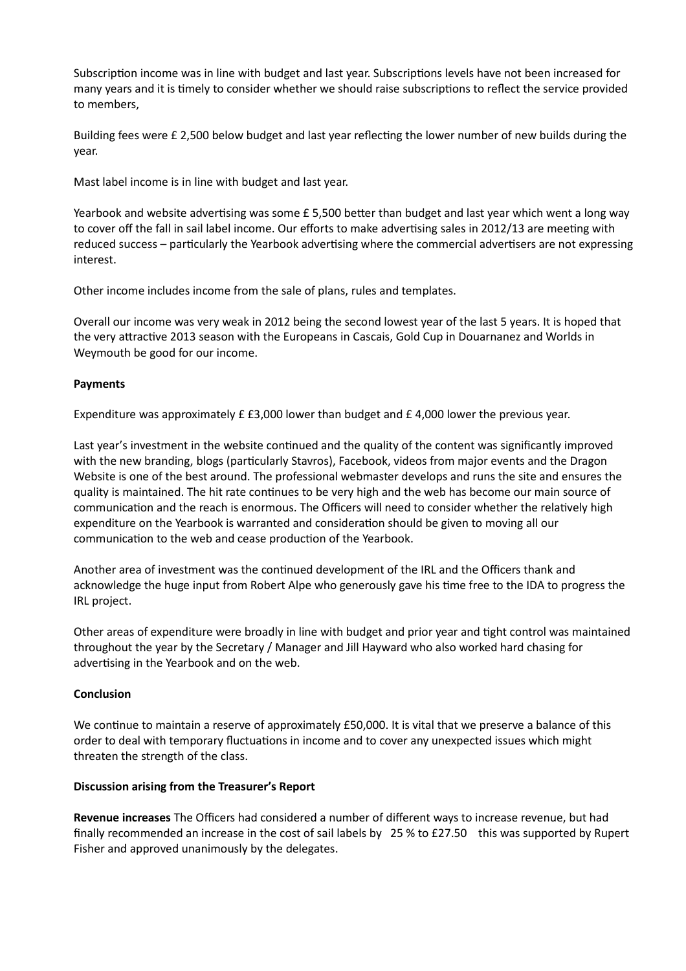Subscription income was in line with budget and last year. Subscriptions levels have not been increased for many years and it is timely to consider whether we should raise subscriptions to reflect the service provided to members,

Building fees were £ 2,500 below budget and last year reflecting the lower number of new builds during the year.

Mast label income is in line with budget and last year.

Yearbook and website advertising was some  $E$  5,500 better than budget and last year which went a long way to cover off the fall in sail label income. Our efforts to make advertising sales in 2012/13 are meeting with reduced success - particularly the Yearbook advertising where the commercial advertisers are not expressing interest.

Other income includes income from the sale of plans, rules and templates.

Overall our income was very weak in 2012 being the second lowest year of the last 5 years. It is hoped that the very attractive 2013 season with the Europeans in Cascais, Gold Cup in Douarnanez and Worlds in Weymouth be good for our income.

#### **Payments**

Expenditure was approximately £ £3,000 lower than budget and £ 4,000 lower the previous year.

Last year's investment in the website continued and the quality of the content was significantly improved with the new branding, blogs (particularly Stavros), Facebook, videos from major events and the Dragon Website is one of the best around. The professional webmaster develops and runs the site and ensures the quality is maintained. The hit rate continues to be very high and the web has become our main source of communication and the reach is enormous. The Officers will need to consider whether the relatively high expenditure on the Yearbook is warranted and consideration should be given to moving all our communication to the web and cease production of the Yearbook.

Another area of investment was the continued development of the IRL and the Officers thank and acknowledge the huge input from Robert Alpe who generously gave his time free to the IDA to progress the IRL project.

Other areas of expenditure were broadly in line with budget and prior year and tight control was maintained throughout the year by the Secretary / Manager and Jill Hayward who also worked hard chasing for advertising in the Yearbook and on the web.

#### **Conclusion**

We continue to maintain a reserve of approximately £50,000. It is vital that we preserve a balance of this order to deal with temporary fluctuations in income and to cover any unexpected issues which might threaten the strength of the class.

## **Discussion arising from the Treasurer's Report**

**Revenue increases** The Officers had considered a number of different ways to increase revenue, but had finally recommended an increase in the cost of sail labels by 25 % to £27.50 this was supported by Rupert Fisher and approved unanimously by the delegates.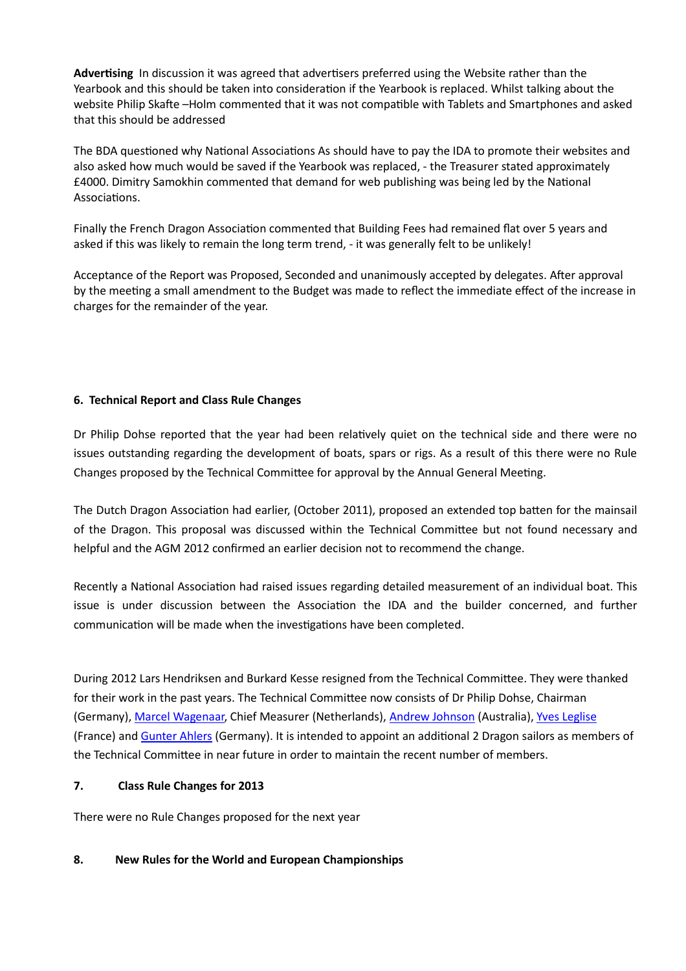**Advertising** In discussion it was agreed that advertisers preferred using the Website rather than the Yearbook and this should be taken into consideration if the Yearbook is replaced. Whilst talking about the website Philip Skafte -Holm commented that it was not compatible with Tablets and Smartphones and asked that this should be addressed

The BDA questioned why National Associations As should have to pay the IDA to promote their websites and also asked how much would be saved if the Yearbook was replaced, - the Treasurer stated approximately £4000. Dimitry Samokhin commented that demand for web publishing was being led by the National Associations.

Finally the French Dragon Association commented that Building Fees had remained flat over 5 years and asked if this was likely to remain the long term trend, - it was generally felt to be unlikely!

Acceptance of the Report was Proposed, Seconded and unanimously accepted by delegates. After approval by the meeting a small amendment to the Budget was made to reflect the immediate effect of the increase in charges for the remainder of the year.

## **6. Technical Report and Class Rule Changes**

Dr Philip Dohse reported that the year had been relatively quiet on the technical side and there were no issues outstanding regarding the development of boats, spars or rigs. As a result of this there were no Rule Changes proposed by the Technical Committee for approval by the Annual General Meeting.

The Dutch Dragon Association had earlier, (October 2011), proposed an extended top batten for the mainsail of the Dragon. This proposal was discussed within the Technical Committee but not found necessary and helpful and the AGM 2012 confirmed an earlier decision not to recommend the change.

Recently a National Association had raised issues regarding detailed measurement of an individual boat. This issue is under discussion between the Association the IDA and the builder concerned, and further communication will be made when the investigations have been completed.

During 2012 Lars Hendriksen and Burkard Kesse resigned from the Technical Committee. They were thanked for their work in the past years. The Technical Committee now consists of Dr Philip Dohse, Chairman (Germany), Marcel Wagenaar, Chief Measurer (Netherlands), Andrew Johnson (Australia), Yves Leglise (France) and Gunter Ahlers (Germany). It is intended to appoint an additional 2 Dragon sailors as members of the Technical Committee in near future in order to maintain the recent number of members.

## **7. Class Rule Changes for 2013**

There were no Rule Changes proposed for the next year

## **8. New Rules for the World and European Championships**